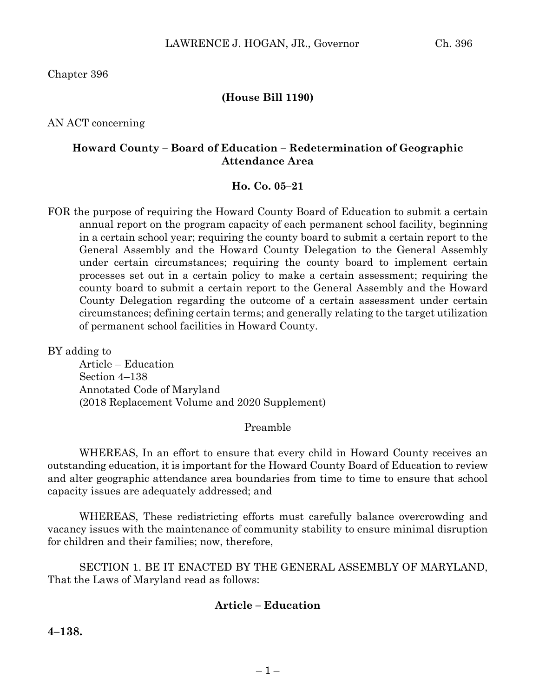Chapter 396

## **(House Bill 1190)**

AN ACT concerning

### **Howard County – Board of Education – Redetermination of Geographic Attendance Area**

#### **Ho. Co. 05–21**

FOR the purpose of requiring the Howard County Board of Education to submit a certain annual report on the program capacity of each permanent school facility, beginning in a certain school year; requiring the county board to submit a certain report to the General Assembly and the Howard County Delegation to the General Assembly under certain circumstances; requiring the county board to implement certain processes set out in a certain policy to make a certain assessment; requiring the county board to submit a certain report to the General Assembly and the Howard County Delegation regarding the outcome of a certain assessment under certain circumstances; defining certain terms; and generally relating to the target utilization of permanent school facilities in Howard County.

BY adding to

Article – Education Section 4–138 Annotated Code of Maryland (2018 Replacement Volume and 2020 Supplement)

### Preamble

WHEREAS, In an effort to ensure that every child in Howard County receives an outstanding education, it is important for the Howard County Board of Education to review and alter geographic attendance area boundaries from time to time to ensure that school capacity issues are adequately addressed; and

WHEREAS, These redistricting efforts must carefully balance overcrowding and vacancy issues with the maintenance of community stability to ensure minimal disruption for children and their families; now, therefore,

SECTION 1. BE IT ENACTED BY THE GENERAL ASSEMBLY OF MARYLAND, That the Laws of Maryland read as follows:

### **Article – Education**

**4–138.**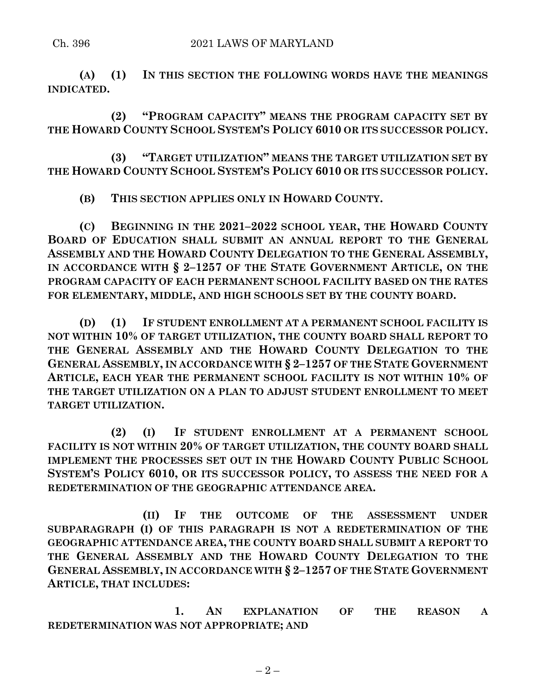**(A) (1) IN THIS SECTION THE FOLLOWING WORDS HAVE THE MEANINGS INDICATED.**

**(2) "PROGRAM CAPACITY" MEANS THE PROGRAM CAPACITY SET BY THE HOWARD COUNTY SCHOOL SYSTEM'S POLICY 6010 OR ITS SUCCESSOR POLICY.**

**(3) "TARGET UTILIZATION" MEANS THE TARGET UTILIZATION SET BY THE HOWARD COUNTY SCHOOL SYSTEM'S POLICY 6010 OR ITS SUCCESSOR POLICY.**

**(B) THIS SECTION APPLIES ONLY IN HOWARD COUNTY.**

**(C) BEGINNING IN THE 2021–2022 SCHOOL YEAR, THE HOWARD COUNTY BOARD OF EDUCATION SHALL SUBMIT AN ANNUAL REPORT TO THE GENERAL ASSEMBLY AND THE HOWARD COUNTY DELEGATION TO THE GENERAL ASSEMBLY, IN ACCORDANCE WITH § 2–1257 OF THE STATE GOVERNMENT ARTICLE, ON THE PROGRAM CAPACITY OF EACH PERMANENT SCHOOL FACILITY BASED ON THE RATES FOR ELEMENTARY, MIDDLE, AND HIGH SCHOOLS SET BY THE COUNTY BOARD.**

**(D) (1) IF STUDENT ENROLLMENT AT A PERMANENT SCHOOL FACILITY IS NOT WITHIN 10% OF TARGET UTILIZATION, THE COUNTY BOARD SHALL REPORT TO THE GENERAL ASSEMBLY AND THE HOWARD COUNTY DELEGATION TO THE GENERAL ASSEMBLY, IN ACCORDANCE WITH § 2–1257 OF THE STATE GOVERNMENT ARTICLE, EACH YEAR THE PERMANENT SCHOOL FACILITY IS NOT WITHIN 10% OF THE TARGET UTILIZATION ON A PLAN TO ADJUST STUDENT ENROLLMENT TO MEET TARGET UTILIZATION.**

**(2) (I) IF STUDENT ENROLLMENT AT A PERMANENT SCHOOL FACILITY IS NOT WITHIN 20% OF TARGET UTILIZATION, THE COUNTY BOARD SHALL IMPLEMENT THE PROCESSES SET OUT IN THE HOWARD COUNTY PUBLIC SCHOOL SYSTEM'S POLICY 6010, OR ITS SUCCESSOR POLICY, TO ASSESS THE NEED FOR A REDETERMINATION OF THE GEOGRAPHIC ATTENDANCE AREA.**

**(II) IF THE OUTCOME OF THE ASSESSMENT UNDER SUBPARAGRAPH (I) OF THIS PARAGRAPH IS NOT A REDETERMINATION OF THE GEOGRAPHIC ATTENDANCE AREA, THE COUNTY BOARD SHALL SUBMIT A REPORT TO THE GENERAL ASSEMBLY AND THE HOWARD COUNTY DELEGATION TO THE GENERAL ASSEMBLY, IN ACCORDANCE WITH § 2–1257 OF THE STATE GOVERNMENT ARTICLE, THAT INCLUDES:**

**1. AN EXPLANATION OF THE REASON A REDETERMINATION WAS NOT APPROPRIATE; AND**